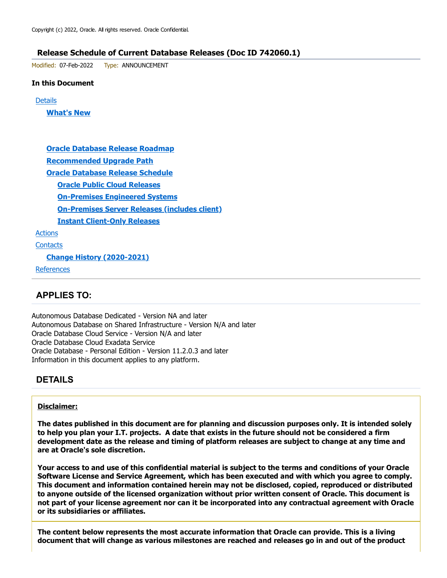#### Release Schedule of Current Database Releases (Doc ID 742060.1)

Modified: 07-Feb-2022 Type: ANNOUNCEMENT

#### In this Document

**Details** 

What's New

Oracle Database Release Roadmap Recommended Upgrade Path Oracle Database Release Schedule Oracle Public Cloud Releases On-Premises Engineered Systems On-Premises Server Releases (includes client) Instant Client-Only Releases Actions **Contacts** Change History (2020-2021) **References** 

### APPLIES TO:

Autonomous Database Dedicated - Version NA and later Autonomous Database on Shared Infrastructure - Version N/A and later Oracle Database Cloud Service - Version N/A and later Oracle Database Cloud Exadata Service Oracle Database - Personal Edition - Version 11.2.0.3 and later Information in this document applies to any platform.

### DETAILS

#### Disclaimer:

The dates published in this document are for planning and discussion purposes only. It is intended solely to help you plan your I.T. projects. A date that exists in the future should not be considered a firm development date as the release and timing of platform releases are subject to change at any time and are at Oracle's sole discretion.

Your access to and use of this confidential material is subject to the terms and conditions of your Oracle Software License and Service Agreement, which has been executed and with which you agree to comply. This document and information contained herein may not be disclosed, copied, reproduced or distributed to anyone outside of the licensed organization without prior written consent of Oracle. This document is not part of your license agreement nor can it be incorporated into any contractual agreement with Oracle or its subsidiaries or affiliates.

The content below represents the most accurate information that Oracle can provide. This is a living document that will change as various milestones are reached and releases go in and out of the product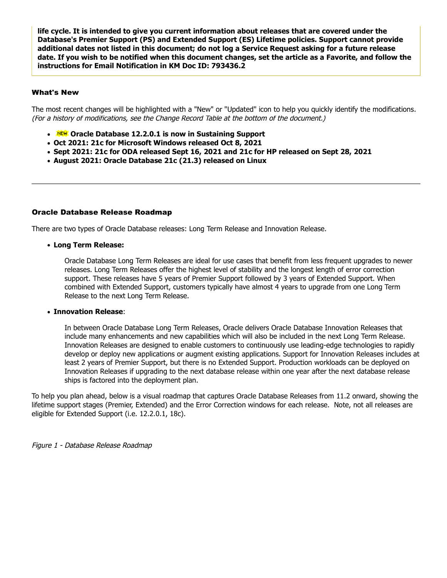life cycle. It is intended to give you current information about releases that are covered under the Database's Premier Support (PS) and Extended Support (ES) Lifetime policies. Support cannot provide additional dates not listed in this document; do not log a Service Request asking for a future release date. If you wish to be notified when this document changes, set the article as a Favorite, and follow the instructions for Email Notification in KM Doc ID: 793436.2

#### What's New

The most recent changes will be highlighted with a "New" or "Updated" icon to help you quickly identify the modifications.<br>(For a history of modifications, see the Change Record Table at the bottom of the document.)

- **NEW** Oracle Database 12.2.0.1 is now in Sustaining Support
- Oct 2021: 21c for Microsoft Windows released Oct 8, 2021
- Sept 2021: 21c for ODA released Sept 16, 2021 and 21c for HP released on Sept 28, 2021
- August 2021: Oracle Database 21c (21.3) released on Linux

#### Oracle Database Release Roadmap

There are two types of Oracle Database releases: Long Term Release and Innovation Release.

Long Term Release:

Oracle Database Long Term Releases are ideal for use cases that benefit from less frequent upgrades to newer releases. Long Term Releases offer the highest level of stability and the longest length of error correction support. These releases have 5 years of Premier Support followed by 3 years of Extended Support. When combined with Extended Support, customers typically have almost 4 years to upgrade from one Long Term Release to the next Long Term Release.

#### Innovation Release:

In between Oracle Database Long Term Releases, Oracle delivers Oracle Database Innovation Releases that include many enhancements and new capabilities which will also be included in the next Long Term Release. Innovation Releases are designed to enable customers to continuously use leading-edge technologies to rapidly develop or deploy new applications or augment existing applications. Support for Innovation Releases includes at least 2 years of Premier Support, but there is no Extended Support. Production workloads can be deployed on Innovation Releases if upgrading to the next database release within one year after the next database release ships is factored into the deployment plan.

To help you plan ahead, below is a visual roadmap that captures Oracle Database Releases from 11.2 onward, showing the lifetime support stages (Premier, Extended) and the Error Correction windows for each release. Note, not all releases are eligible for Extended Support (i.e. 12.2.0.1, 18c).

Figure 1 - Database Release Roadmap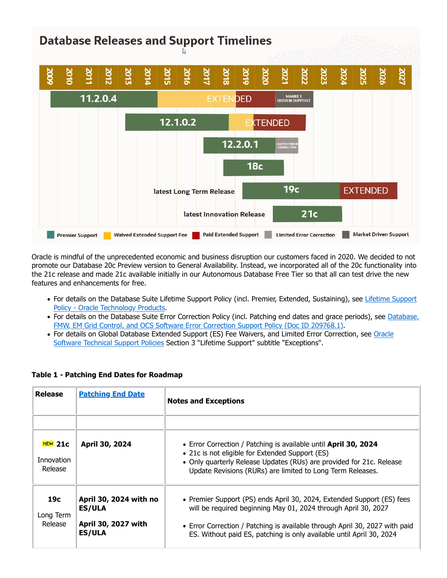# **Database Releases and Support Timelines**



Oracle is mindful of the unprecedented economic and business disruption our customers faced in 2020. We decided to not promote our Database 20c Preview version to General Availability. Instead, we incorporated all of the 20c functionality into the 21c release and made 21c available initially in our Autonomous Database Free Tier so that all can test drive the new features and enhancements for free.

- For details on the Database Suite Lifetime Support Policy (incl. Premier, Extended, Sustaining), see Lifetime Support Policy - Oracle Technology Products.
- For details on the Database Suite Error Correction Policy (incl. Patching end dates and grace periods), see Database, FMW, EM Grid Control, and OCS Software Error Correction Support Policy (Doc ID 209768.1).
- For details on Global Database Extended Support (ES) Fee Waivers, and Limited Error Correction, see Oracle Software Technical Support Policies Section 3 "Lifetime Support" subtitle "Exceptions".

| <b>Release</b>                     | <b>Patching End Date</b>                | <b>Notes and Exceptions</b>                                                                                                                                                                                                                              |
|------------------------------------|-----------------------------------------|----------------------------------------------------------------------------------------------------------------------------------------------------------------------------------------------------------------------------------------------------------|
|                                    |                                         |                                                                                                                                                                                                                                                          |
| $NEW$ 21c<br>Innovation<br>Release | April 30, 2024                          | • Error Correction / Patching is available until April 30, 2024<br>• 21c is not eligible for Extended Support (ES)<br>• Only quarterly Release Updates (RUs) are provided for 21c. Release<br>Update Revisions (RURs) are limited to Long Term Releases. |
| 19с<br>Long Term                   | April 30, 2024 with no<br><b>ES/ULA</b> | • Premier Support (PS) ends April 30, 2024, Extended Support (ES) fees<br>will be required beginning May 01, 2024 through April 30, 2027                                                                                                                 |
| Release                            | April 30, 2027 with<br><b>ES/ULA</b>    | • Error Correction / Patching is available through April 30, 2027 with paid<br>ES. Without paid ES, patching is only available until April 30, 2024                                                                                                      |

#### Table 1 - Patching End Dates for Roadmap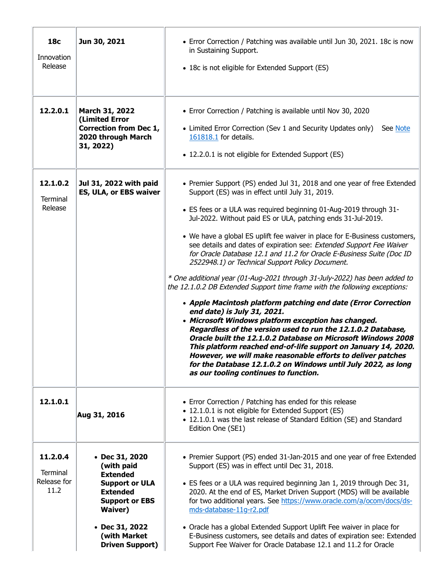| <b>18c</b><br>Innovation<br>Release         | Jun 30, 2021                                                                                                                                                                    | • Error Correction / Patching was available until Jun 30, 2021. 18c is now<br>in Sustaining Support.<br>• 18c is not eligible for Extended Support (ES)                                                                                                                                                                                                                                                                                                                                                                                                                                                                                                                                                                                                                                                                                                                                                                                                                                                                                                                                                                                                                                                                                           |
|---------------------------------------------|---------------------------------------------------------------------------------------------------------------------------------------------------------------------------------|---------------------------------------------------------------------------------------------------------------------------------------------------------------------------------------------------------------------------------------------------------------------------------------------------------------------------------------------------------------------------------------------------------------------------------------------------------------------------------------------------------------------------------------------------------------------------------------------------------------------------------------------------------------------------------------------------------------------------------------------------------------------------------------------------------------------------------------------------------------------------------------------------------------------------------------------------------------------------------------------------------------------------------------------------------------------------------------------------------------------------------------------------------------------------------------------------------------------------------------------------|
| 12.2.0.1                                    | March 31, 2022<br>(Limited Error<br><b>Correction from Dec 1,</b><br>2020 through March<br>31, 2022)                                                                            | • Error Correction / Patching is available until Nov 30, 2020<br>• Limited Error Correction (Sev 1 and Security Updates only)<br>See Note<br>161818.1 for details.<br>• 12.2.0.1 is not eligible for Extended Support (ES)                                                                                                                                                                                                                                                                                                                                                                                                                                                                                                                                                                                                                                                                                                                                                                                                                                                                                                                                                                                                                        |
| 12.1.0.2<br><b>Terminal</b><br>Release      | Jul 31, 2022 with paid<br>ES, ULA, or EBS waiver                                                                                                                                | • Premier Support (PS) ended Jul 31, 2018 and one year of free Extended<br>Support (ES) was in effect until July 31, 2019.<br>• ES fees or a ULA was required beginning 01-Aug-2019 through 31-<br>Jul-2022. Without paid ES or ULA, patching ends 31-Jul-2019.<br>• We have a global ES uplift fee waiver in place for E-Business customers,<br>see details and dates of expiration see: Extended Support Fee Waiver<br>for Oracle Database 12.1 and 11.2 for Oracle E-Business Suite (Doc ID<br>2522948.1) or Technical Support Policy Document.<br>* One additional year (01-Aug-2021 through 31-July-2022) has been added to<br>the 12.1.0.2 DB Extended Support time frame with the following exceptions:<br>• Apple Macintosh platform patching end date (Error Correction<br>end date) is July 31, 2021.<br>• Microsoft Windows platform exception has changed.<br>Regardless of the version used to run the 12.1.0.2 Database,<br>Oracle built the 12.1.0.2 Database on Microsoft Windows 2008<br>This platform reached end-of-life support on January 14, 2020.<br>However, we will make reasonable efforts to deliver patches<br>for the Database 12.1.0.2 on Windows until July 2022, as long<br>as our tooling continues to function. |
| 12.1.0.1                                    | Aug 31, 2016                                                                                                                                                                    | • Error Correction / Patching has ended for this release<br>• 12.1.0.1 is not eligible for Extended Support (ES)<br>• 12.1.0.1 was the last release of Standard Edition (SE) and Standard<br>Edition One (SE1)                                                                                                                                                                                                                                                                                                                                                                                                                                                                                                                                                                                                                                                                                                                                                                                                                                                                                                                                                                                                                                    |
| 11.2.0.4<br>Terminal<br>Release for<br>11.2 | $\cdot$ Dec 31, 2020<br>(with paid<br><b>Extended</b><br><b>Support or ULA</b><br><b>Extended</b><br><b>Support or EBS</b><br><b>Waiver</b> )<br>• Dec 31, 2022<br>(with Market | • Premier Support (PS) ended 31-Jan-2015 and one year of free Extended<br>Support (ES) was in effect until Dec 31, 2018.<br>• ES fees or a ULA was required beginning Jan 1, 2019 through Dec 31,<br>2020. At the end of ES, Market Driven Support (MDS) will be available<br>for two additional years. See https://www.oracle.com/a/ocom/docs/ds-<br>mds-database-11g-r2.pdf<br>• Oracle has a global Extended Support Uplift Fee waiver in place for<br>E-Business customers, see details and dates of expiration see: Extended                                                                                                                                                                                                                                                                                                                                                                                                                                                                                                                                                                                                                                                                                                                 |
|                                             | <b>Driven Support)</b>                                                                                                                                                          | Support Fee Waiver for Oracle Database 12.1 and 11.2 for Oracle                                                                                                                                                                                                                                                                                                                                                                                                                                                                                                                                                                                                                                                                                                                                                                                                                                                                                                                                                                                                                                                                                                                                                                                   |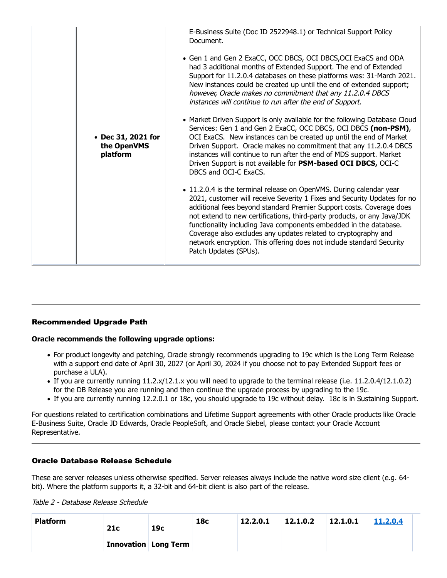| • Dec 31, 2021 for<br>the OpenVMS<br>platform | E-Business Suite (Doc ID 2522948.1) or Technical Support Policy<br>Document.<br>• Gen 1 and Gen 2 ExaCC, OCC DBCS, OCI DBCS, OCI ExaCS and ODA<br>had 3 additional months of Extended Support. The end of Extended<br>Support for 11.2.0.4 databases on these platforms was: 31-March 2021.<br>New instances could be created up until the end of extended support;<br>however, Oracle makes no commitment that any 11.2.0.4 DBCS<br>instances will continue to run after the end of Support.<br>• Market Driven Support is only available for the following Database Cloud<br>Services: Gen 1 and Gen 2 ExaCC, OCC DBCS, OCI DBCS (non-PSM),<br>OCI ExaCS. New instances can be created up until the end of Market<br>Driven Support. Oracle makes no commitment that any 11.2.0.4 DBCS<br>instances will continue to run after the end of MDS support. Market<br>Driven Support is not available for PSM-based OCI DBCS, OCI-C<br>DBCS and OCI-C ExaCS.<br>• 11.2.0.4 is the terminal release on OpenVMS. During calendar year<br>2021, customer will receive Severity 1 Fixes and Security Updates for no<br>additional fees beyond standard Premier Support costs. Coverage does<br>not extend to new certifications, third-party products, or any Java/JDK<br>functionality including Java components embedded in the database.<br>Coverage also excludes any updates related to cryptography and<br>network encryption. This offering does not include standard Security<br>Patch Updates (SPUs). |  |
|-----------------------------------------------|---------------------------------------------------------------------------------------------------------------------------------------------------------------------------------------------------------------------------------------------------------------------------------------------------------------------------------------------------------------------------------------------------------------------------------------------------------------------------------------------------------------------------------------------------------------------------------------------------------------------------------------------------------------------------------------------------------------------------------------------------------------------------------------------------------------------------------------------------------------------------------------------------------------------------------------------------------------------------------------------------------------------------------------------------------------------------------------------------------------------------------------------------------------------------------------------------------------------------------------------------------------------------------------------------------------------------------------------------------------------------------------------------------------------------------------------------------------------------------------------------------|--|
|-----------------------------------------------|---------------------------------------------------------------------------------------------------------------------------------------------------------------------------------------------------------------------------------------------------------------------------------------------------------------------------------------------------------------------------------------------------------------------------------------------------------------------------------------------------------------------------------------------------------------------------------------------------------------------------------------------------------------------------------------------------------------------------------------------------------------------------------------------------------------------------------------------------------------------------------------------------------------------------------------------------------------------------------------------------------------------------------------------------------------------------------------------------------------------------------------------------------------------------------------------------------------------------------------------------------------------------------------------------------------------------------------------------------------------------------------------------------------------------------------------------------------------------------------------------------|--|

#### Recommended Upgrade Path

#### Oracle recommends the following upgrade options:

- For product longevity and patching, Oracle strongly recommends upgrading to 19c which is the Long Term Release with a support end date of April 30, 2027 (or April 30, 2024 if you choose not to pay Extended Support fees or purchase a ULA).
- If you are currently running 11.2.x/12.1.x you will need to upgrade to the terminal release (i.e. 11.2.0.4/12.1.0.2) for the DB Release you are running and then continue the upgrade process by upgrading to the 19c.
- If you are currently running 12.2.0.1 or 18c, you should upgrade to 19c without delay. 18c is in Sustaining Support.

#### Oracle Database Release Schedule

| Oracle recommends the following upgrade options:                                                                                                                                                                                                               |                                                                                                                                                                                                                                                                                                                                                                                                                                                                   |                               |                 |          |          |          |          |
|----------------------------------------------------------------------------------------------------------------------------------------------------------------------------------------------------------------------------------------------------------------|-------------------------------------------------------------------------------------------------------------------------------------------------------------------------------------------------------------------------------------------------------------------------------------------------------------------------------------------------------------------------------------------------------------------------------------------------------------------|-------------------------------|-----------------|----------|----------|----------|----------|
| purchase a ULA).                                                                                                                                                                                                                                               | • For product longevity and patching, Oracle strongly recommends upgrading to 19c which is the Long Term Release<br>with a support end date of April 30, 2027 (or April 30, 2024 if you choose not to pay Extended Support fees or<br>• If you are currently running 11.2.x/12.1.x you will need to upgrade to the terminal release (i.e. 11.2.0.4/12.1.0.2)<br>for the DB Release you are running and then continue the upgrade process by upgrading to the 19c. |                               |                 |          |          |          |          |
|                                                                                                                                                                                                                                                                | • If you are currently running 12.2.0.1 or 18c, you should upgrade to 19c without delay. 18c is in Sustaining Support.                                                                                                                                                                                                                                                                                                                                            |                               |                 |          |          |          |          |
| For questions related to certification combinations and Lifetime Support agreements with other Oracle products like Oracle<br>E-Business Suite, Oracle JD Edwards, Oracle PeopleSoft, and Oracle Siebel, please contact your Oracle Account<br>Representative. |                                                                                                                                                                                                                                                                                                                                                                                                                                                                   |                               |                 |          |          |          |          |
| <b>Oracle Database Release Schedule</b><br>These are server releases unless otherwise specified. Server releases always include the native word size client (e.g. 64-                                                                                          |                                                                                                                                                                                                                                                                                                                                                                                                                                                                   |                               |                 |          |          |          |          |
| bit). Where the platform supports it, a 32-bit and 64-bit client is also part of the release.                                                                                                                                                                  |                                                                                                                                                                                                                                                                                                                                                                                                                                                                   |                               |                 |          |          |          |          |
| Table 2 - Database Release Schedule                                                                                                                                                                                                                            |                                                                                                                                                                                                                                                                                                                                                                                                                                                                   |                               |                 |          |          |          |          |
| <b>Platform</b>                                                                                                                                                                                                                                                | 21c                                                                                                                                                                                                                                                                                                                                                                                                                                                               | 19с                           | 18 <sub>c</sub> | 12.2.0.1 | 12.1.0.2 | 12.1.0.1 | 11.2.0.4 |
|                                                                                                                                                                                                                                                                |                                                                                                                                                                                                                                                                                                                                                                                                                                                                   | <b>Innovation   Long Term</b> |                 |          |          |          |          |
|                                                                                                                                                                                                                                                                |                                                                                                                                                                                                                                                                                                                                                                                                                                                                   |                               |                 |          |          |          |          |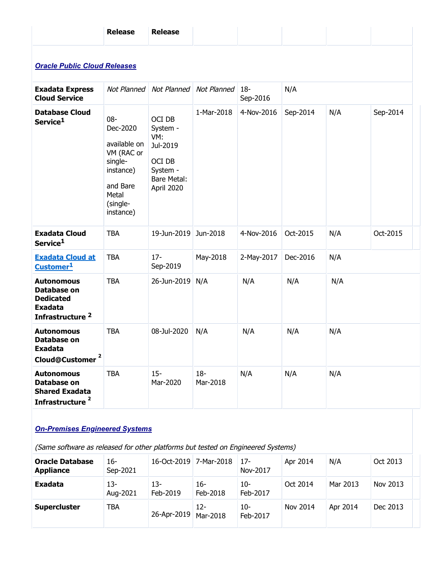|                                                                                                       | <b>Release</b>                                 | <b>Release</b>                        |                    |                        |          |          |          |
|-------------------------------------------------------------------------------------------------------|------------------------------------------------|---------------------------------------|--------------------|------------------------|----------|----------|----------|
| <b>Oracle Public Cloud Releases</b>                                                                   |                                                |                                       |                    |                        |          |          |          |
| <b>Exadata Express</b>                                                                                | Not Planned                                    | Not Planned                           | Not Planned        | $ 18-$                 | N/A      |          |          |
| <b>Cloud Service</b><br><b>Database Cloud</b><br>Service <sup>1</sup>                                 | $08 -$<br>Dec-2020<br>available on             | OCI DB<br>System -<br>VM:<br>Jul-2019 | 1-Mar-2018         | Sep-2016<br>4-Nov-2016 | Sep-2014 | N/A      | Sep-2014 |
|                                                                                                       | VM (RAC or<br>single-<br>instance)<br>and Bare | OCI DB<br>System -<br>Bare Metal:     |                    |                        |          |          |          |
|                                                                                                       | Metal<br>(single-<br>instance)                 | April 2020                            |                    |                        |          |          |          |
| <b>Exadata Cloud</b><br>Service <sup>1</sup>                                                          | <b>TBA</b>                                     | 19-Jun-2019 Jun-2018                  |                    | 4-Nov-2016             | Oct-2015 | N/A      | Oct-2015 |
| <b>Exadata Cloud at</b><br>Customer <sup>1</sup>                                                      | <b>TBA</b>                                     | $17 -$<br>Sep-2019                    | May-2018           | 2-May-2017             | Dec-2016 | N/A      |          |
| <b>Autonomous</b><br>Database on<br><b>Dedicated</b><br><b>Exadata</b><br>Infrastructure <sup>2</sup> | <b>TBA</b>                                     | 26-Jun-2019 N/A                       |                    | N/A                    | N/A      | N/A      |          |
| <b>Autonomous</b><br>Database on<br><b>Exadata</b><br>Cloud@Customer <sup>2</sup>                     | <b>TBA</b>                                     | 08-Jul-2020                           | N/A                | N/A                    | N/A      | N/A      |          |
| <b>Autonomous</b><br>Database on<br><b>Shared Exadata</b><br>Infrastructure <sup>2</sup>              | <b>TBA</b>                                     | $15 -$<br>Mar-2020                    | $18 -$<br>Mar-2018 | N/A                    | N/A      | N/A      |          |
| <b>On-Premises Engineered Systems</b>                                                                 |                                                |                                       |                    |                        |          |          |          |
| (Same software as released for other platforms but tested on Engineered Systems)                      |                                                |                                       |                    |                        |          |          |          |
| <b>Oracle Database</b><br><b>Appliance</b>                                                            | $16-$<br>Sep-2021                              | 16-Oct-2019 7-Mar-2018                |                    | $17 -$<br>Nov-2017     | Apr 2014 | N/A      | Oct 2013 |
| <b>Exadata</b>                                                                                        | $13 -$<br>Aug-2021                             | $13 -$<br>Feb-2019                    | $16 -$<br>Feb-2018 | $10-$<br>Feb-2017      | Oct 2014 | Mar 2013 | Nov 2013 |
| <b>Supercluster</b>                                                                                   | <b>TBA</b>                                     | 26-Apr-2019 Mar-2018                  | $12 -$             | $10-$<br>Feb-2017      | Nov 2014 | Apr 2014 | Dec 2013 |

### **On-Premises Engineered Systems**

| <b>Oracle Database</b><br><b>Appliance</b> | 16-<br>Sep-2021   | 16-Oct-2019 7-Mar-2018 |                    | $17 -$<br>Nov-2017 | Apr 2014 | N/A      | Oct 2013 |  |
|--------------------------------------------|-------------------|------------------------|--------------------|--------------------|----------|----------|----------|--|
| Exadata                                    | $13-$<br>Aug-2021 | 13-<br>Feb-2019        | 16-<br>Feb-2018    | 10-<br>Feb-2017    | Oct 2014 | Mar 2013 | Nov 2013 |  |
| <b>Supercluster</b>                        | <b>TBA</b>        | 26-Apr-2019            | $12 -$<br>Mar-2018 | 10-<br>Feb-2017    | Nov 2014 | Apr 2014 | Dec 2013 |  |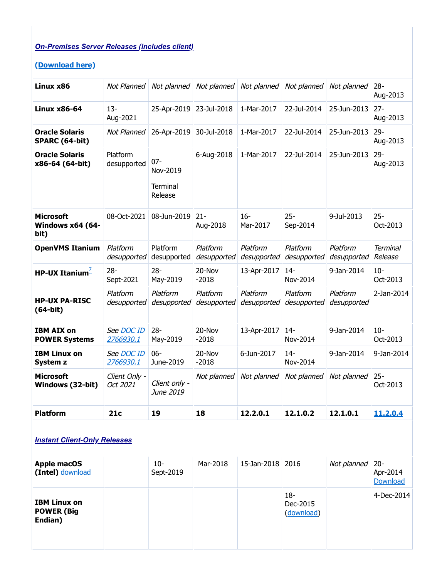# On-Premises Server Releases (includes client)

### (Download here)

| <b>On-Premises Server Releases (includes client)</b> |                           |                            |                                     |                         |                         |                                 |                                |
|------------------------------------------------------|---------------------------|----------------------------|-------------------------------------|-------------------------|-------------------------|---------------------------------|--------------------------------|
| (Download here)                                      |                           |                            |                                     |                         |                         |                                 |                                |
| Linux x86                                            | Not Planned               | Not planned                | Not planned                         | Not planned             | Not planned             | Not planned                     | $28 -$<br>Aug-2013             |
| <b>Linux x86-64</b>                                  | $13 -$<br>Aug-2021        | 25-Apr-2019 23-Jul-2018    |                                     | 1-Mar-2017              | 22-Jul-2014             | 25-Jun-2013                     | $27 -$<br>Aug-2013             |
| <b>Oracle Solaris</b><br>SPARC (64-bit)              | Not Planned               | 26-Apr-2019 30-Jul-2018    |                                     | 1-Mar-2017              | 22-Jul-2014             | 25-Jun-2013 29-                 | Aug-2013                       |
| <b>Oracle Solaris</b><br>x86-64 (64-bit)             | Platform<br>desupported   | $07 -$<br>Nov-2019         | 6-Aug-2018                          | 1-Mar-2017              | 22-Jul-2014             | 25-Jun-2013                     | $29 -$<br>Aug-2013             |
|                                                      |                           | <b>Terminal</b><br>Release |                                     |                         |                         |                                 |                                |
| <b>Microsoft</b><br>Windows x64 (64-<br>bit)         | 08-Oct-2021               | 08-Jun-2019 21-            | Aug-2018                            | $16-$<br>Mar-2017       | $25 -$<br>Sep-2014      | 9-Jul-2013                      | $25 -$<br>Oct-2013             |
| <b>OpenVMS Itanium</b>                               | Platform<br>desupported   | Platform<br>desupported    | Platform<br>desupported             | Platform<br>desupported | Platform<br>desupported | Platform<br>desupported Release | <b>Terminal</b>                |
| HP-UX Itanium $^{-1}$                                | $28 -$<br>Sept-2021       | $28 -$<br>May-2019         | 20-Nov<br>$-2018$                   | 13-Apr-2017             | $14-$<br>Nov-2014       | 9-Jan-2014                      | $10 -$<br>Oct-2013             |
| <b>HP-UX PA-RISC</b><br>$(64-bit)$                   | Platform<br>desupported   | Platform                   | Platform<br>desupported desupported | Platform<br>desupported | Platform<br>desupported | Platform<br>desupported         | 2-Jan-2014                     |
| <b>IBM AIX on</b><br><b>POWER Systems</b>            | See DOC ID<br>2766930.1   | $28 -$<br>May-2019         | 20-Nov<br>$-2018$                   | 13-Apr-2017             | $14-$<br>Nov-2014       | 9-Jan-2014                      | $10-$<br>Oct-2013              |
| <b>IBM Linux on</b><br>System z                      | See DOC ID<br>2766930.1   | $06 -$<br>June-2019        | 20-Nov<br>$-2018$                   | 6-Jun-2017              | $14 -$<br>Nov-2014      | 9-Jan-2014                      | 9-Jan-2014                     |
| <b>Microsoft</b><br>Windows (32-bit)                 | Client Only -<br>Oct 2021 | Client only -<br>June 2019 | Not planned                         | Not planned             | Not planned             | Not planned                     | $25 -$<br>Oct-2013             |
| <b>Platform</b>                                      | 21c                       | 19                         | 18                                  | 12.2.0.1                | 12.1.0.2                | 12.1.0.1                        | 11.2.0.4                       |
| <b>Instant Client-Only Releases</b>                  |                           |                            |                                     |                         |                         |                                 |                                |
| <b>Apple macOS</b><br>(Intel) download               |                           | $10 -$<br>Sept-2019        | Mar-2018                            | 15-Jan-2018             | 2016                    | Not planned                     | $20 -$<br>Apr-2014<br>Download |
| <b>IBM Linux on</b>                                  |                           |                            |                                     |                         | $18 -$<br>Dec-2015      |                                 | 4-Dec-2014                     |

# **Instant Client-Only Releases**

| <b>Apple macOS</b><br>(Intel) download              | $10-$<br>Sept-2019 | Mar-2018 | 15-Jan-2018 2016 |                               | Not planned $\vert$ 20- | Apr-2014<br>Download |
|-----------------------------------------------------|--------------------|----------|------------------|-------------------------------|-------------------------|----------------------|
| <b>IBM Linux on</b><br><b>POWER (Big</b><br>Endian) |                    |          |                  | 18-<br>Dec-2015<br>(download) |                         | 4-Dec-2014           |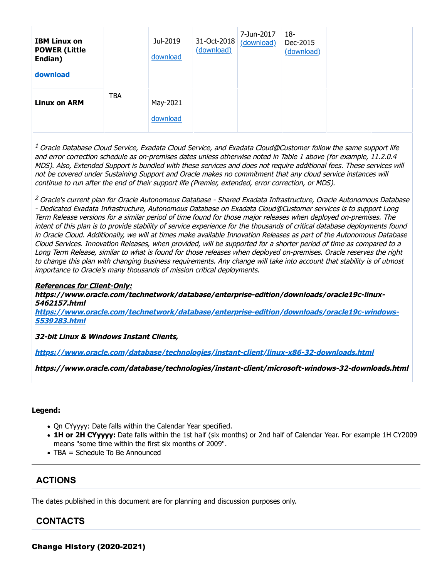| <b>IBM Linux on</b><br><b>POWER (Little</b><br>Endian)<br>download |            | Jul-2019<br>download | 31-Oct-2018<br>(download) | 7-Jun-2017<br>(download) | $18-$<br>Dec-2015<br>(download) |  |  |
|--------------------------------------------------------------------|------------|----------------------|---------------------------|--------------------------|---------------------------------|--|--|
| <b>Linux on ARM</b>                                                | <b>TBA</b> | May-2021<br>download |                           |                          |                                 |  |  |

 $1$  Oracle Database Cloud Service, Exadata Cloud Service, and Exadata Cloud@Customer follow the same support life and error correction schedule as on-premises dates unless otherwise noted in Table 1 above (for example, 11.2.0.4 MDS). Also, Extended Support is bundled with these services and does not require additional fees. These services will not be covered under Sustaining Support and Oracle makes no commitment that any cloud service instances will continue to run after the end of their support life (Premier, extended, error correction, or MDS).

<sup>2</sup> Oracle's current plan for Oracle Autonomous Database - Shared Exadata Infrastructure, Oracle Autonomous Database - Dedicated Exadata Infrastructure, Autonomous Database on Exadata Cloud@Customer services is to support Long Term Release versions for a similar period of time found for those major releases when deployed on-premises. The intent of this plan is to provide stability of service experience for the thousands of critical database deployments found in Oracle Cloud. Additionally, we will at times make available Innovation Releases as part of the Autonomous Database Cloud Services. Innovation Releases, when provided, will be supported for a shorter period of time as compared to a Long Term Release, similar to what is found for those releases when deployed on-premises. Oracle reserves the right to change this plan with changing business requirements. Any change will take into account that stability is of utmost importance to Oracle's many thousands of mission critical deployments.

#### References for Client-Only:

https://www.oracle.com/technetwork/database/enterprise-edition/downloads/oracle19c-linux-5462157.html

https://www.oracle.com/technetwork/database/enterprise-edition/downloads/oracle19c-windows-5539283.html

#### 32-bit Linux & Windows Instant Clients,

https://www.oracle.com/database/technologies/instant-client/linux-x86-32-downloads.html

https://www.oracle.com/database/technologies/instant-client/microsoft-windows-32-downloads.html

#### Legend:

- Qn CYyyyy: Date falls within the Calendar Year specified.
- 1H or 2H CYyyyy: Date falls within the 1st half (six months) or 2nd half of Calendar Year. For example 1H CY2009 means "some time within the first six months of 2009".
- TBA = Schedule To Be Announced

#### **ACTIONS**

The dates published in this document are for planning and discussion purposes only.

#### CONTACTS

Change History (2020-2021)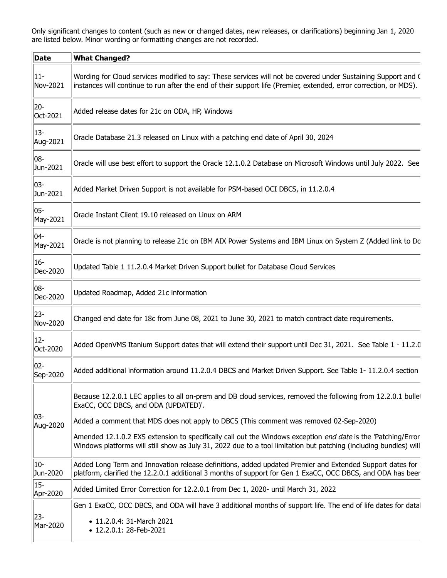| Only significant changes to content (such as new or changed dates, new releases, or clarifications) beginning Jan 1, 2020<br>are listed below. Minor wording or formatting changes are not recorded.<br>$\ $ Date<br><b>What Changed?</b><br>$  11 -$<br>Nov-2021<br>instances will continue to run after the end of their support life (Premier, extended, error correction, or MDS).<br>20-<br>Added release dates for 21c on ODA, HP, Windows<br>Oct-2021<br>$ 13-$<br>Oracle Database 21.3 released on Linux with a patching end date of April 30, 2024<br>Aug-2021<br>$ 08-$<br>Jun-2021<br>  03-<br>Added Market Driven Support is not available for PSM-based OCI DBCS, in 11.2.0.4<br>Jun-2021<br>$\parallel$ 05-<br>Oracle Instant Client 19.10 released on Linux on ARM<br>May-2021<br>  04-<br>May-2021<br>$ 16-$<br>Updated Table 1 11.2.0.4 Market Driven Support bullet for Database Cloud Services<br>Dec-2020<br>$ 08-$<br>Updated Roadmap, Added 21c information<br>Dec-2020<br>  23-<br>Changed end date for 18c from June 08, 2021 to June 30, 2021 to match contract date requirements.<br> Nov-2020<br>$ 12 -$<br>  Oct-2020<br>$ 02-$<br>Sep-2020<br>ExaCC, OCC DBCS, and ODA (UPDATED)'.<br>  03-<br>Added a comment that MDS does not apply to DBCS (This comment was removed 02-Sep-2020)<br>Aug-2020<br>  10-<br>Jun-2020<br>$  15 -$<br>Added Limited Error Correction for 12.2.0.1 from Dec 1, 2020- until March 31, 2022<br>Apr-2020<br>Gen 1 ExaCC, OCC DBCS, and ODA will have 3 additional months of support life. The end of life dates for datal<br>$\parallel$ 23-<br>• 11.2.0.4: 31-March 2021<br>Mar-2020 |                                                                                                                                                                                                                                    |
|------------------------------------------------------------------------------------------------------------------------------------------------------------------------------------------------------------------------------------------------------------------------------------------------------------------------------------------------------------------------------------------------------------------------------------------------------------------------------------------------------------------------------------------------------------------------------------------------------------------------------------------------------------------------------------------------------------------------------------------------------------------------------------------------------------------------------------------------------------------------------------------------------------------------------------------------------------------------------------------------------------------------------------------------------------------------------------------------------------------------------------------------------------------------------------------------------------------------------------------------------------------------------------------------------------------------------------------------------------------------------------------------------------------------------------------------------------------------------------------------------------------------------------------------------------------------------------------------------------------------------------------------|------------------------------------------------------------------------------------------------------------------------------------------------------------------------------------------------------------------------------------|
|                                                                                                                                                                                                                                                                                                                                                                                                                                                                                                                                                                                                                                                                                                                                                                                                                                                                                                                                                                                                                                                                                                                                                                                                                                                                                                                                                                                                                                                                                                                                                                                                                                                |                                                                                                                                                                                                                                    |
|                                                                                                                                                                                                                                                                                                                                                                                                                                                                                                                                                                                                                                                                                                                                                                                                                                                                                                                                                                                                                                                                                                                                                                                                                                                                                                                                                                                                                                                                                                                                                                                                                                                |                                                                                                                                                                                                                                    |
|                                                                                                                                                                                                                                                                                                                                                                                                                                                                                                                                                                                                                                                                                                                                                                                                                                                                                                                                                                                                                                                                                                                                                                                                                                                                                                                                                                                                                                                                                                                                                                                                                                                | Wording for Cloud services modified to say: These services will not be covered under Sustaining Support and C                                                                                                                      |
|                                                                                                                                                                                                                                                                                                                                                                                                                                                                                                                                                                                                                                                                                                                                                                                                                                                                                                                                                                                                                                                                                                                                                                                                                                                                                                                                                                                                                                                                                                                                                                                                                                                |                                                                                                                                                                                                                                    |
|                                                                                                                                                                                                                                                                                                                                                                                                                                                                                                                                                                                                                                                                                                                                                                                                                                                                                                                                                                                                                                                                                                                                                                                                                                                                                                                                                                                                                                                                                                                                                                                                                                                |                                                                                                                                                                                                                                    |
|                                                                                                                                                                                                                                                                                                                                                                                                                                                                                                                                                                                                                                                                                                                                                                                                                                                                                                                                                                                                                                                                                                                                                                                                                                                                                                                                                                                                                                                                                                                                                                                                                                                | Oracle will use best effort to support the Oracle 12.1.0.2 Database on Microsoft Windows until July 2022. See                                                                                                                      |
|                                                                                                                                                                                                                                                                                                                                                                                                                                                                                                                                                                                                                                                                                                                                                                                                                                                                                                                                                                                                                                                                                                                                                                                                                                                                                                                                                                                                                                                                                                                                                                                                                                                |                                                                                                                                                                                                                                    |
|                                                                                                                                                                                                                                                                                                                                                                                                                                                                                                                                                                                                                                                                                                                                                                                                                                                                                                                                                                                                                                                                                                                                                                                                                                                                                                                                                                                                                                                                                                                                                                                                                                                |                                                                                                                                                                                                                                    |
|                                                                                                                                                                                                                                                                                                                                                                                                                                                                                                                                                                                                                                                                                                                                                                                                                                                                                                                                                                                                                                                                                                                                                                                                                                                                                                                                                                                                                                                                                                                                                                                                                                                | Oracle is not planning to release 21c on IBM AIX Power Systems and IBM Linux on System Z (Added link to Do                                                                                                                         |
|                                                                                                                                                                                                                                                                                                                                                                                                                                                                                                                                                                                                                                                                                                                                                                                                                                                                                                                                                                                                                                                                                                                                                                                                                                                                                                                                                                                                                                                                                                                                                                                                                                                |                                                                                                                                                                                                                                    |
|                                                                                                                                                                                                                                                                                                                                                                                                                                                                                                                                                                                                                                                                                                                                                                                                                                                                                                                                                                                                                                                                                                                                                                                                                                                                                                                                                                                                                                                                                                                                                                                                                                                |                                                                                                                                                                                                                                    |
|                                                                                                                                                                                                                                                                                                                                                                                                                                                                                                                                                                                                                                                                                                                                                                                                                                                                                                                                                                                                                                                                                                                                                                                                                                                                                                                                                                                                                                                                                                                                                                                                                                                |                                                                                                                                                                                                                                    |
|                                                                                                                                                                                                                                                                                                                                                                                                                                                                                                                                                                                                                                                                                                                                                                                                                                                                                                                                                                                                                                                                                                                                                                                                                                                                                                                                                                                                                                                                                                                                                                                                                                                | Added OpenVMS Itanium Support dates that will extend their support until Dec 31, 2021. See Table 1 - 11.2.0                                                                                                                        |
|                                                                                                                                                                                                                                                                                                                                                                                                                                                                                                                                                                                                                                                                                                                                                                                                                                                                                                                                                                                                                                                                                                                                                                                                                                                                                                                                                                                                                                                                                                                                                                                                                                                | Added additional information around 11.2.0.4 DBCS and Market Driven Support. See Table 1- 11.2.0.4 section                                                                                                                         |
|                                                                                                                                                                                                                                                                                                                                                                                                                                                                                                                                                                                                                                                                                                                                                                                                                                                                                                                                                                                                                                                                                                                                                                                                                                                                                                                                                                                                                                                                                                                                                                                                                                                | Because 12.2.0.1 LEC applies to all on-prem and DB cloud services, removed the following from 12.2.0.1 bullet                                                                                                                      |
|                                                                                                                                                                                                                                                                                                                                                                                                                                                                                                                                                                                                                                                                                                                                                                                                                                                                                                                                                                                                                                                                                                                                                                                                                                                                                                                                                                                                                                                                                                                                                                                                                                                |                                                                                                                                                                                                                                    |
|                                                                                                                                                                                                                                                                                                                                                                                                                                                                                                                                                                                                                                                                                                                                                                                                                                                                                                                                                                                                                                                                                                                                                                                                                                                                                                                                                                                                                                                                                                                                                                                                                                                | Amended 12.1.0.2 EXS extension to specifically call out the Windows exception end date is the 'Patching/Error<br>Windows platforms will still show as July 31, 2022 due to a tool limitation but patching (including bundles) will |
|                                                                                                                                                                                                                                                                                                                                                                                                                                                                                                                                                                                                                                                                                                                                                                                                                                                                                                                                                                                                                                                                                                                                                                                                                                                                                                                                                                                                                                                                                                                                                                                                                                                | Added Long Term and Innovation release definitions, added updated Premier and Extended Support dates for<br>platform, clarified the 12.2.0.1 additional 3 months of support for Gen 1 ExaCC, OCC DBCS, and ODA has beer            |
|                                                                                                                                                                                                                                                                                                                                                                                                                                                                                                                                                                                                                                                                                                                                                                                                                                                                                                                                                                                                                                                                                                                                                                                                                                                                                                                                                                                                                                                                                                                                                                                                                                                |                                                                                                                                                                                                                                    |
|                                                                                                                                                                                                                                                                                                                                                                                                                                                                                                                                                                                                                                                                                                                                                                                                                                                                                                                                                                                                                                                                                                                                                                                                                                                                                                                                                                                                                                                                                                                                                                                                                                                | • 12.2.0.1: 28-Feb-2021                                                                                                                                                                                                            |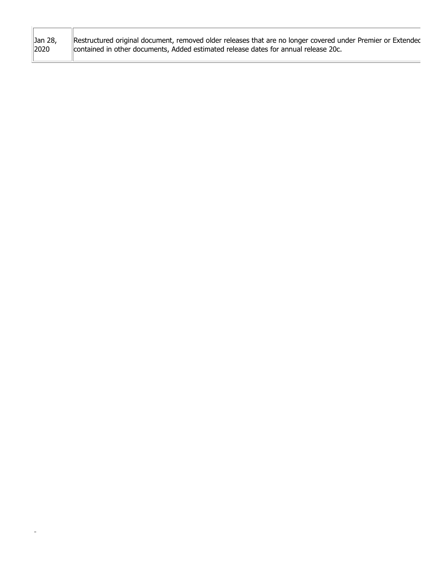| Restructured original document, removed older releases that are no longer covered under Premier or Extendec |
|-------------------------------------------------------------------------------------------------------------|
|-------------------------------------------------------------------------------------------------------------|

-